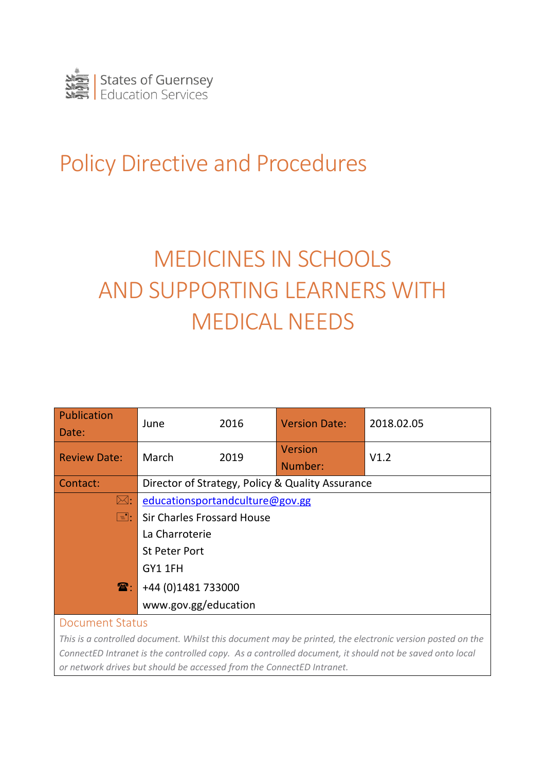

## Policy Directive and Procedures

# MEDICINES IN SCHOOLS AND SUPPORTING LEARNERS WITH MEDICAL NEEDS

| <b>Publication</b><br>Date: | June                                             | 2016 | <b>Version Date:</b> | 2018.02.05 |  |
|-----------------------------|--------------------------------------------------|------|----------------------|------------|--|
| <b>Review Date:</b>         | March                                            | 2019 | Version<br>Number:   | V1.2       |  |
| Contact:                    | Director of Strategy, Policy & Quality Assurance |      |                      |            |  |
| $\boxtimes:$                | educationsportandculture@gov.gg                  |      |                      |            |  |
| $\Xi$ :                     | <b>Sir Charles Frossard House</b>                |      |                      |            |  |
|                             | La Charroterie                                   |      |                      |            |  |
|                             | <b>St Peter Port</b>                             |      |                      |            |  |
|                             | GY1 1FH                                          |      |                      |            |  |
| $\mathbf{\widehat{a}}$ :    | +44 (0)1481 733000                               |      |                      |            |  |
|                             | www.gov.gg/education                             |      |                      |            |  |
| <b>Document Status</b>      |                                                  |      |                      |            |  |

*This is a controlled document. Whilst this document may be printed, the electronic version posted on the ConnectED Intranet is the controlled copy. As a controlled document, it should not be saved onto local or network drives but should be accessed from the ConnectED Intranet.*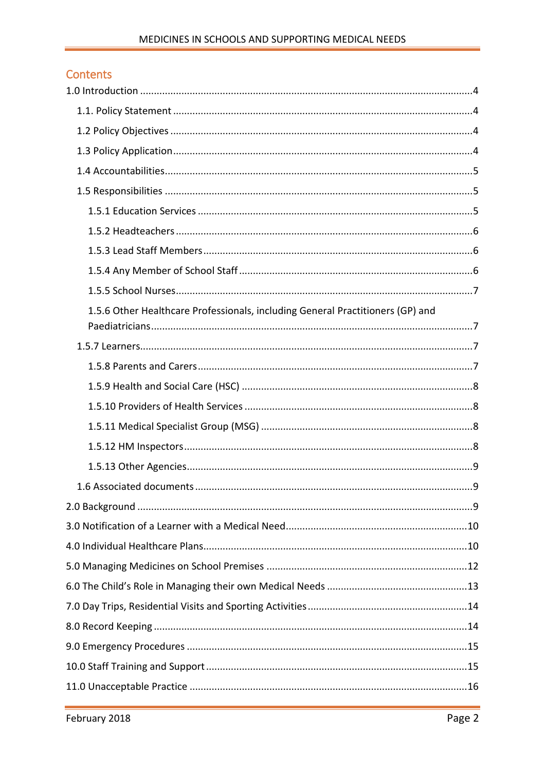#### Contents

| 1.5.6 Other Healthcare Professionals, including General Practitioners (GP) and |  |
|--------------------------------------------------------------------------------|--|
|                                                                                |  |
|                                                                                |  |
|                                                                                |  |
|                                                                                |  |
|                                                                                |  |
|                                                                                |  |
|                                                                                |  |
|                                                                                |  |
|                                                                                |  |
|                                                                                |  |
|                                                                                |  |
|                                                                                |  |
|                                                                                |  |
|                                                                                |  |
|                                                                                |  |
|                                                                                |  |
|                                                                                |  |
|                                                                                |  |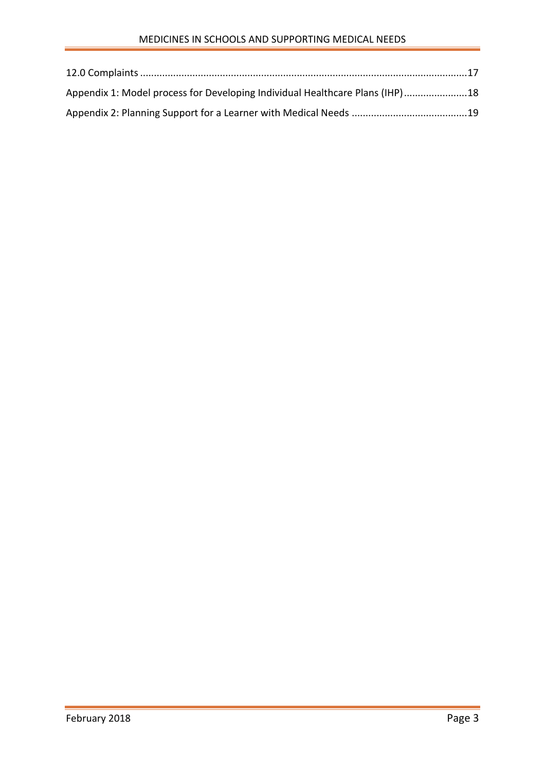| Appendix 1: Model process for Developing Individual Healthcare Plans (IHP)18 |  |
|------------------------------------------------------------------------------|--|
|                                                                              |  |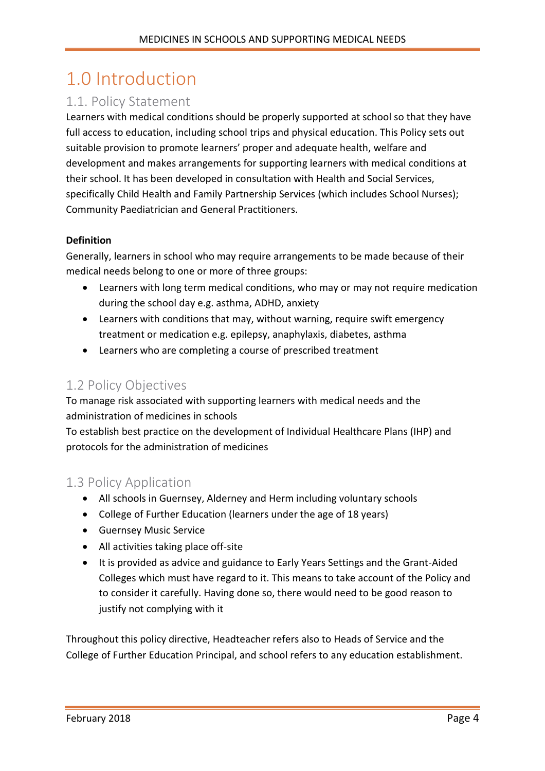### <span id="page-3-0"></span>1.0 Introduction

### <span id="page-3-1"></span>1.1. Policy Statement

Learners with medical conditions should be properly supported at school so that they have full access to education, including school trips and physical education. This Policy sets out suitable provision to promote learners' proper and adequate health, welfare and development and makes arrangements for supporting learners with medical conditions at their school. It has been developed in consultation with Health and Social Services, specifically Child Health and Family Partnership Services (which includes School Nurses); Community Paediatrician and General Practitioners.

#### **Definition**

Generally, learners in school who may require arrangements to be made because of their medical needs belong to one or more of three groups:

- Learners with long term medical conditions, who may or may not require medication during the school day e.g. asthma, ADHD, anxiety
- Learners with conditions that may, without warning, require swift emergency treatment or medication e.g. epilepsy, anaphylaxis, diabetes, asthma
- Learners who are completing a course of prescribed treatment

#### <span id="page-3-2"></span>1.2 Policy Objectives

To manage risk associated with supporting learners with medical needs and the administration of medicines in schools

To establish best practice on the development of Individual Healthcare Plans (IHP) and protocols for the administration of medicines

#### <span id="page-3-3"></span>1.3 Policy Application

- All schools in Guernsey, Alderney and Herm including voluntary schools
- College of Further Education (learners under the age of 18 years)
- Guernsey Music Service
- All activities taking place off-site
- It is provided as advice and guidance to Early Years Settings and the Grant-Aided Colleges which must have regard to it. This means to take account of the Policy and to consider it carefully. Having done so, there would need to be good reason to justify not complying with it

Throughout this policy directive, Headteacher refers also to Heads of Service and the College of Further Education Principal, and school refers to any education establishment.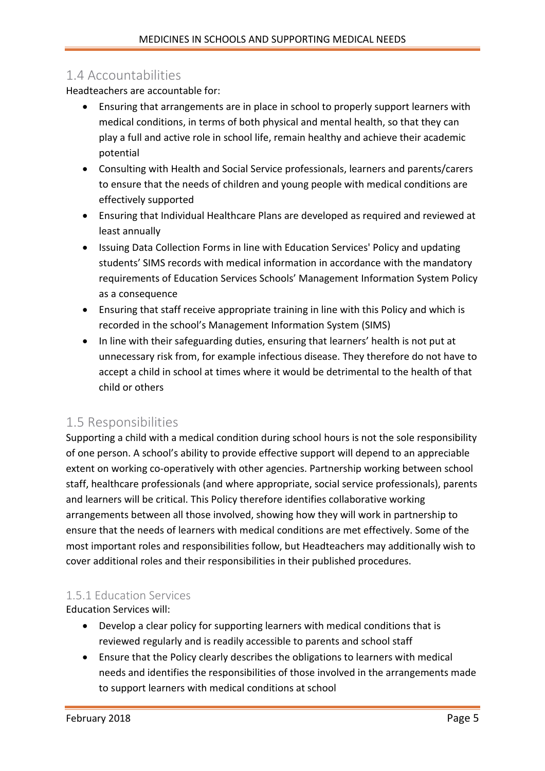#### <span id="page-4-0"></span>1.4 Accountabilities

Headteachers are accountable for:

- Ensuring that arrangements are in place in school to properly support learners with medical conditions, in terms of both physical and mental health, so that they can play a full and active role in school life, remain healthy and achieve their academic potential
- Consulting with Health and Social Service professionals, learners and parents/carers to ensure that the needs of children and young people with medical conditions are effectively supported
- Ensuring that Individual Healthcare Plans are developed as required and reviewed at least annually
- Issuing Data Collection Forms in line with Education Services' Policy and updating students' SIMS records with medical information in accordance with the mandatory requirements of Education Services Schools' Management Information System Policy as a consequence
- Ensuring that staff receive appropriate training in line with this Policy and which is recorded in the school's Management Information System (SIMS)
- In line with their safeguarding duties, ensuring that learners' health is not put at unnecessary risk from, for example infectious disease. They therefore do not have to accept a child in school at times where it would be detrimental to the health of that child or others

#### <span id="page-4-1"></span>1.5 Responsibilities

Supporting a child with a medical condition during school hours is not the sole responsibility of one person. A school's ability to provide effective support will depend to an appreciable extent on working co-operatively with other agencies. Partnership working between school staff, healthcare professionals (and where appropriate, social service professionals), parents and learners will be critical. This Policy therefore identifies collaborative working arrangements between all those involved, showing how they will work in partnership to ensure that the needs of learners with medical conditions are met effectively. Some of the most important roles and responsibilities follow, but Headteachers may additionally wish to cover additional roles and their responsibilities in their published procedures.

#### <span id="page-4-2"></span>1.5.1 Education Services

Education Services will:

- Develop a clear policy for supporting learners with medical conditions that is reviewed regularly and is readily accessible to parents and school staff
- Ensure that the Policy clearly describes the obligations to learners with medical needs and identifies the responsibilities of those involved in the arrangements made to support learners with medical conditions at school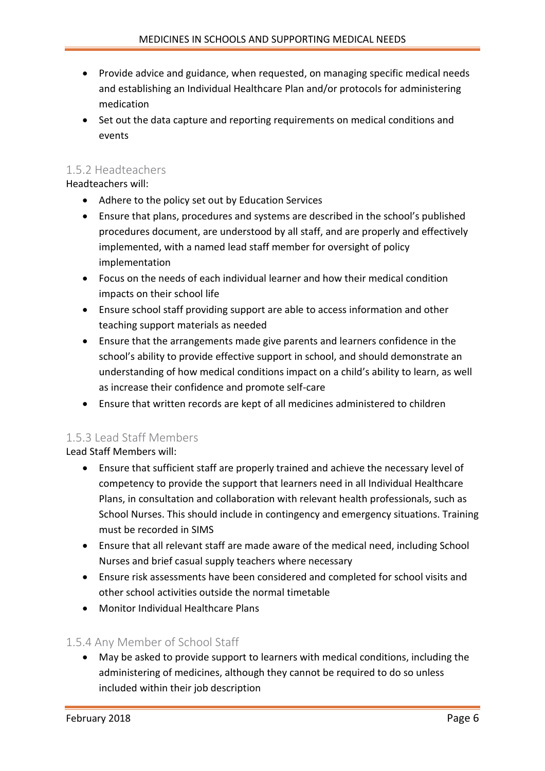- Provide advice and guidance, when requested, on managing specific medical needs and establishing an Individual Healthcare Plan and/or protocols for administering medication
- Set out the data capture and reporting requirements on medical conditions and events

#### <span id="page-5-0"></span>1.5.2 Headteachers

Headteachers will:

- Adhere to the policy set out by Education Services
- Ensure that plans, procedures and systems are described in the school's published procedures document, are understood by all staff, and are properly and effectively implemented, with a named lead staff member for oversight of policy implementation
- Focus on the needs of each individual learner and how their medical condition impacts on their school life
- Ensure school staff providing support are able to access information and other teaching support materials as needed
- Ensure that the arrangements made give parents and learners confidence in the school's ability to provide effective support in school, and should demonstrate an understanding of how medical conditions impact on a child's ability to learn, as well as increase their confidence and promote self-care
- Ensure that written records are kept of all medicines administered to children

#### <span id="page-5-1"></span>1.5.3 Lead Staff Members

Lead Staff Members will:

- Ensure that sufficient staff are properly trained and achieve the necessary level of competency to provide the support that learners need in all Individual Healthcare Plans, in consultation and collaboration with relevant health professionals, such as School Nurses. This should include in contingency and emergency situations. Training must be recorded in SIMS
- Ensure that all relevant staff are made aware of the medical need, including School Nurses and brief casual supply teachers where necessary
- Ensure risk assessments have been considered and completed for school visits and other school activities outside the normal timetable
- Monitor Individual Healthcare Plans

#### <span id="page-5-2"></span>1.5.4 Any Member of School Staff

 May be asked to provide support to learners with medical conditions, including the administering of medicines, although they cannot be required to do so unless included within their job description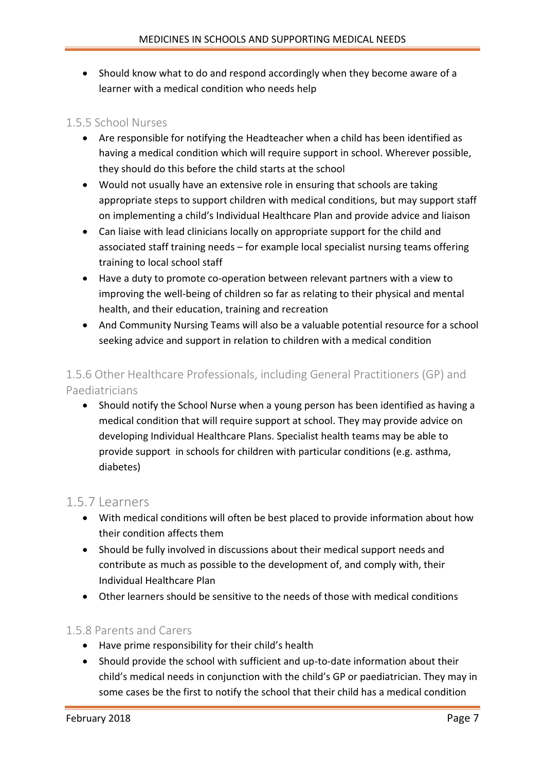• Should know what to do and respond accordingly when they become aware of a learner with a medical condition who needs help

#### <span id="page-6-0"></span>1.5.5 School Nurses

- Are responsible for notifying the Headteacher when a child has been identified as having a medical condition which will require support in school. Wherever possible, they should do this before the child starts at the school
- Would not usually have an extensive role in ensuring that schools are taking appropriate steps to support children with medical conditions, but may support staff on implementing a child's Individual Healthcare Plan and provide advice and liaison
- Can liaise with lead clinicians locally on appropriate support for the child and associated staff training needs – for example local specialist nursing teams offering training to local school staff
- Have a duty to promote co-operation between relevant partners with a view to improving the well-being of children so far as relating to their physical and mental health, and their education, training and recreation
- And Community Nursing Teams will also be a valuable potential resource for a school seeking advice and support in relation to children with a medical condition

#### <span id="page-6-1"></span>1.5.6 Other Healthcare Professionals, including General Practitioners (GP) and Paediatricians

• Should notify the School Nurse when a young person has been identified as having a medical condition that will require support at school. They may provide advice on developing Individual Healthcare Plans. Specialist health teams may be able to provide support in schools for children with particular conditions (e.g. asthma, diabetes)

#### <span id="page-6-2"></span>1.5.7 Learners

- With medical conditions will often be best placed to provide information about how their condition affects them
- Should be fully involved in discussions about their medical support needs and contribute as much as possible to the development of, and comply with, their Individual Healthcare Plan
- Other learners should be sensitive to the needs of those with medical conditions

#### <span id="page-6-3"></span>1.5.8 Parents and Carers

- Have prime responsibility for their child's health
- Should provide the school with sufficient and up-to-date information about their child's medical needs in conjunction with the child's GP or paediatrician. They may in some cases be the first to notify the school that their child has a medical condition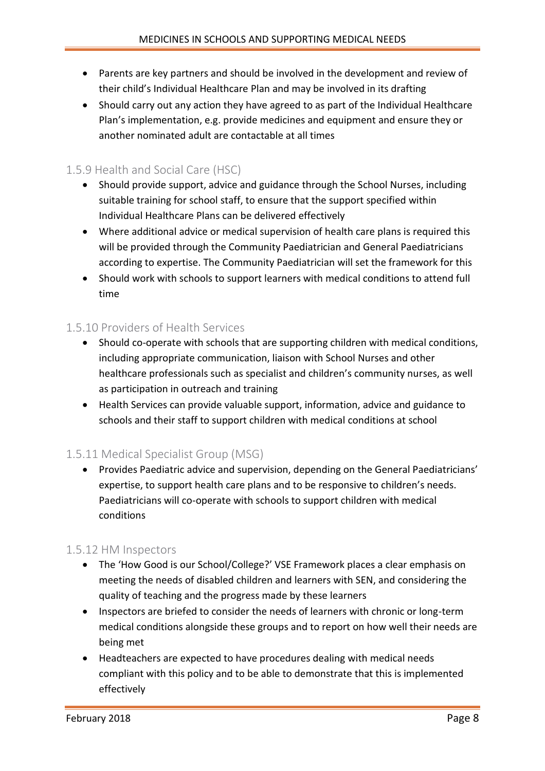- Parents are key partners and should be involved in the development and review of their child's Individual Healthcare Plan and may be involved in its drafting
- Should carry out any action they have agreed to as part of the Individual Healthcare Plan's implementation, e.g. provide medicines and equipment and ensure they or another nominated adult are contactable at all times

#### <span id="page-7-0"></span>1.5.9 Health and Social Care (HSC)

- Should provide support, advice and guidance through the School Nurses, including suitable training for school staff, to ensure that the support specified within Individual Healthcare Plans can be delivered effectively
- Where additional advice or medical supervision of health care plans is required this will be provided through the Community Paediatrician and General Paediatricians according to expertise. The Community Paediatrician will set the framework for this
- Should work with schools to support learners with medical conditions to attend full time

#### <span id="page-7-1"></span>1.5.10 Providers of Health Services

- Should co-operate with schools that are supporting children with medical conditions, including appropriate communication, liaison with School Nurses and other healthcare professionals such as specialist and children's community nurses, as well as participation in outreach and training
- Health Services can provide valuable support, information, advice and guidance to schools and their staff to support children with medical conditions at school

#### <span id="page-7-2"></span>1.5.11 Medical Specialist Group (MSG)

 Provides Paediatric advice and supervision, depending on the General Paediatricians' expertise, to support health care plans and to be responsive to children's needs. Paediatricians will co-operate with schools to support children with medical conditions

#### <span id="page-7-3"></span>1.5.12 HM Inspectors

- The 'How Good is our School/College?' VSE Framework places a clear emphasis on meeting the needs of disabled children and learners with SEN, and considering the quality of teaching and the progress made by these learners
- Inspectors are briefed to consider the needs of learners with chronic or long-term medical conditions alongside these groups and to report on how well their needs are being met
- Headteachers are expected to have procedures dealing with medical needs compliant with this policy and to be able to demonstrate that this is implemented effectively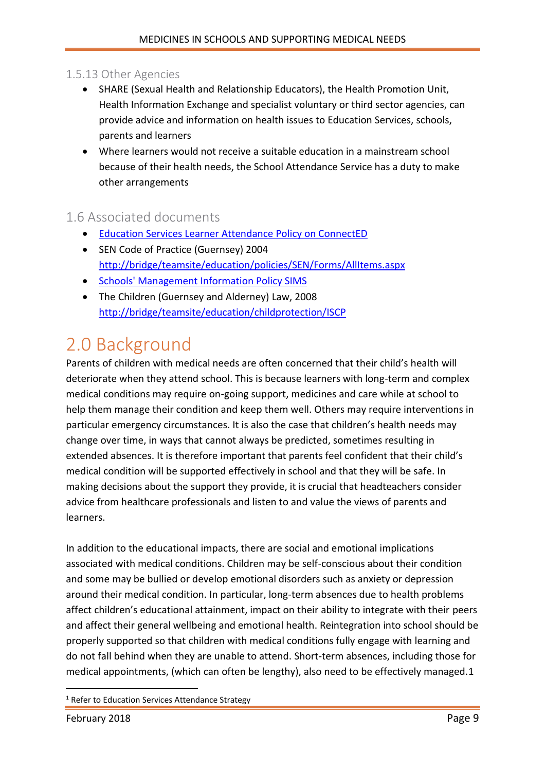#### <span id="page-8-0"></span>1.5.13 Other Agencies

- SHARE (Sexual Health and Relationship Educators), the Health Promotion Unit, Health Information Exchange and specialist voluntary or third sector agencies, can provide advice and information on health issues to Education Services, schools, parents and learners
- Where learners would not receive a suitable education in a mainstream school because of their health needs, the School Attendance Service has a duty to make other arrangements

#### <span id="page-8-1"></span>1.6 Associated documents

- [Education Services Learner Attendance Policy on ConnectED](http://bridge/teamsite/education/policies/Attendance/Forms/AllItems.aspx)
- SEN Code of Practice (Guernsey) 2004 <http://bridge/teamsite/education/policies/SEN/Forms/AllItems.aspx>
- **•** [Schools' Management Information Policy SIMS](http://bridge/teamsite/education/policies/SIMS/Forms/AllItems.aspx)
- The Children (Guernsey and Alderney) Law, 2008 [http://bridge/teamsite/education/childprotection/ISCP](http://bridge/teamsite/education/childprotection/ICPC/Forms/AllItems.aspx)

### <span id="page-8-2"></span>2.0 Background

Parents of children with medical needs are often concerned that their child's health will deteriorate when they attend school. This is because learners with long-term and complex medical conditions may require on-going support, medicines and care while at school to help them manage their condition and keep them well. Others may require interventions in particular emergency circumstances. It is also the case that children's health needs may change over time, in ways that cannot always be predicted, sometimes resulting in extended absences. It is therefore important that parents feel confident that their child's medical condition will be supported effectively in school and that they will be safe. In making decisions about the support they provide, it is crucial that headteachers consider advice from healthcare professionals and listen to and value the views of parents and learners.

In addition to the educational impacts, there are social and emotional implications associated with medical conditions. Children may be self-conscious about their condition and some may be bullied or develop emotional disorders such as anxiety or depression around their medical condition. In particular, long-term absences due to health problems affect children's educational attainment, impact on their ability to integrate with their peers and affect their general wellbeing and emotional health. Reintegration into school should be properly supported so that children with medical conditions fully engage with learning and do not fall behind when they are unable to attend. Short-term absences, including those for medical appointments, (which can often be lengthy), also need to be effectively managed.1

 $\overline{a}$ 

<sup>&</sup>lt;sup>1</sup> Refer to Education Services Attendance Strategy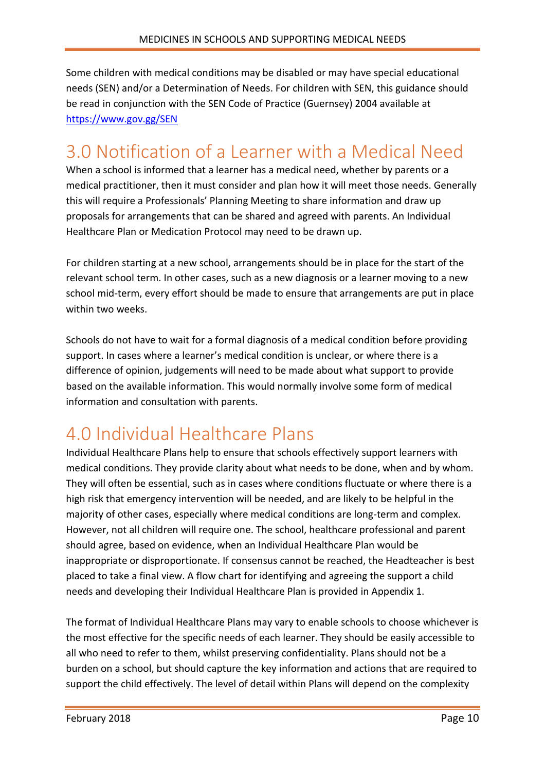Some children with medical conditions may be disabled or may have special educational needs (SEN) and/or a Determination of Needs. For children with SEN, this guidance should be read in conjunction with the SEN Code of Practice (Guernsey) 2004 available at <https://www.gov.gg/SEN>

### <span id="page-9-0"></span>3.0 Notification of a Learner with a Medical Need

When a school is informed that a learner has a medical need, whether by parents or a medical practitioner, then it must consider and plan how it will meet those needs. Generally this will require a Professionals' Planning Meeting to share information and draw up proposals for arrangements that can be shared and agreed with parents. An Individual Healthcare Plan or Medication Protocol may need to be drawn up.

For children starting at a new school, arrangements should be in place for the start of the relevant school term. In other cases, such as a new diagnosis or a learner moving to a new school mid-term, every effort should be made to ensure that arrangements are put in place within two weeks.

Schools do not have to wait for a formal diagnosis of a medical condition before providing support. In cases where a learner's medical condition is unclear, or where there is a difference of opinion, judgements will need to be made about what support to provide based on the available information. This would normally involve some form of medical information and consultation with parents.

## <span id="page-9-1"></span>4.0 Individual Healthcare Plans

Individual Healthcare Plans help to ensure that schools effectively support learners with medical conditions. They provide clarity about what needs to be done, when and by whom. They will often be essential, such as in cases where conditions fluctuate or where there is a high risk that emergency intervention will be needed, and are likely to be helpful in the majority of other cases, especially where medical conditions are long-term and complex. However, not all children will require one. The school, healthcare professional and parent should agree, based on evidence, when an Individual Healthcare Plan would be inappropriate or disproportionate. If consensus cannot be reached, the Headteacher is best placed to take a final view. A flow chart for identifying and agreeing the support a child needs and developing their Individual Healthcare Plan is provided in Appendix 1.

The format of Individual Healthcare Plans may vary to enable schools to choose whichever is the most effective for the specific needs of each learner. They should be easily accessible to all who need to refer to them, whilst preserving confidentiality. Plans should not be a burden on a school, but should capture the key information and actions that are required to support the child effectively. The level of detail within Plans will depend on the complexity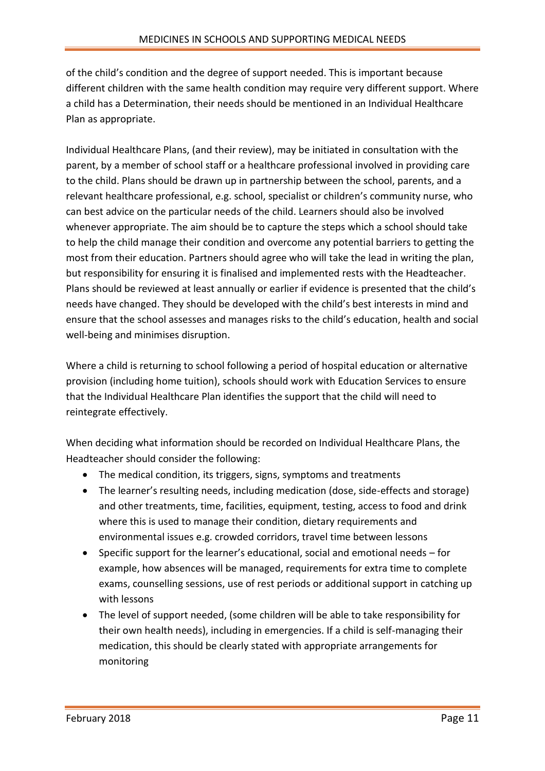of the child's condition and the degree of support needed. This is important because different children with the same health condition may require very different support. Where a child has a Determination, their needs should be mentioned in an Individual Healthcare Plan as appropriate.

Individual Healthcare Plans, (and their review), may be initiated in consultation with the parent, by a member of school staff or a healthcare professional involved in providing care to the child. Plans should be drawn up in partnership between the school, parents, and a relevant healthcare professional, e.g. school, specialist or children's community nurse, who can best advice on the particular needs of the child. Learners should also be involved whenever appropriate. The aim should be to capture the steps which a school should take to help the child manage their condition and overcome any potential barriers to getting the most from their education. Partners should agree who will take the lead in writing the plan, but responsibility for ensuring it is finalised and implemented rests with the Headteacher. Plans should be reviewed at least annually or earlier if evidence is presented that the child's needs have changed. They should be developed with the child's best interests in mind and ensure that the school assesses and manages risks to the child's education, health and social well-being and minimises disruption.

Where a child is returning to school following a period of hospital education or alternative provision (including home tuition), schools should work with Education Services to ensure that the Individual Healthcare Plan identifies the support that the child will need to reintegrate effectively.

When deciding what information should be recorded on Individual Healthcare Plans, the Headteacher should consider the following:

- The medical condition, its triggers, signs, symptoms and treatments
- The learner's resulting needs, including medication (dose, side-effects and storage) and other treatments, time, facilities, equipment, testing, access to food and drink where this is used to manage their condition, dietary requirements and environmental issues e.g. crowded corridors, travel time between lessons
- Specific support for the learner's educational, social and emotional needs for example, how absences will be managed, requirements for extra time to complete exams, counselling sessions, use of rest periods or additional support in catching up with lessons
- The level of support needed, (some children will be able to take responsibility for their own health needs), including in emergencies. If a child is self-managing their medication, this should be clearly stated with appropriate arrangements for monitoring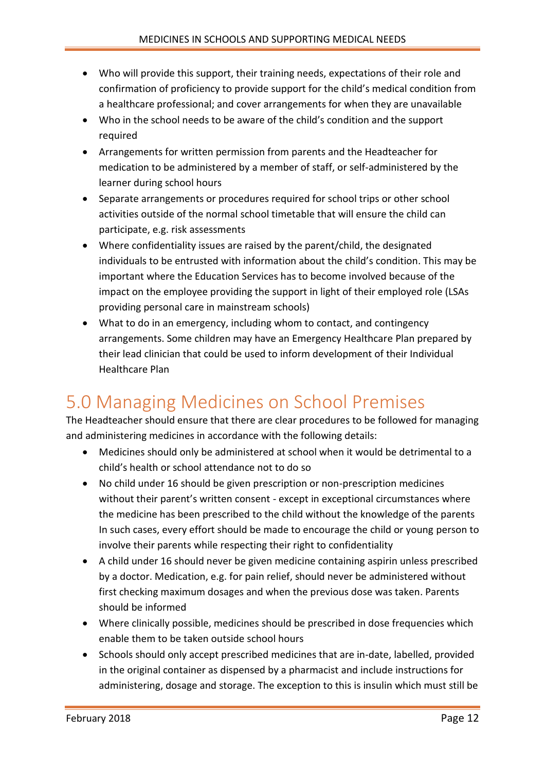- Who will provide this support, their training needs, expectations of their role and confirmation of proficiency to provide support for the child's medical condition from a healthcare professional; and cover arrangements for when they are unavailable
- Who in the school needs to be aware of the child's condition and the support required
- Arrangements for written permission from parents and the Headteacher for medication to be administered by a member of staff, or self-administered by the learner during school hours
- Separate arrangements or procedures required for school trips or other school activities outside of the normal school timetable that will ensure the child can participate, e.g. risk assessments
- Where confidentiality issues are raised by the parent/child, the designated individuals to be entrusted with information about the child's condition. This may be important where the Education Services has to become involved because of the impact on the employee providing the support in light of their employed role (LSAs providing personal care in mainstream schools)
- What to do in an emergency, including whom to contact, and contingency arrangements. Some children may have an Emergency Healthcare Plan prepared by their lead clinician that could be used to inform development of their Individual Healthcare Plan

### <span id="page-11-0"></span>5.0 Managing Medicines on School Premises

The Headteacher should ensure that there are clear procedures to be followed for managing and administering medicines in accordance with the following details:

- Medicines should only be administered at school when it would be detrimental to a child's health or school attendance not to do so
- No child under 16 should be given prescription or non-prescription medicines without their parent's written consent - except in exceptional circumstances where the medicine has been prescribed to the child without the knowledge of the parents In such cases, every effort should be made to encourage the child or young person to involve their parents while respecting their right to confidentiality
- A child under 16 should never be given medicine containing aspirin unless prescribed by a doctor. Medication, e.g. for pain relief, should never be administered without first checking maximum dosages and when the previous dose was taken. Parents should be informed
- Where clinically possible, medicines should be prescribed in dose frequencies which enable them to be taken outside school hours
- Schools should only accept prescribed medicines that are in-date, labelled, provided in the original container as dispensed by a pharmacist and include instructions for administering, dosage and storage. The exception to this is insulin which must still be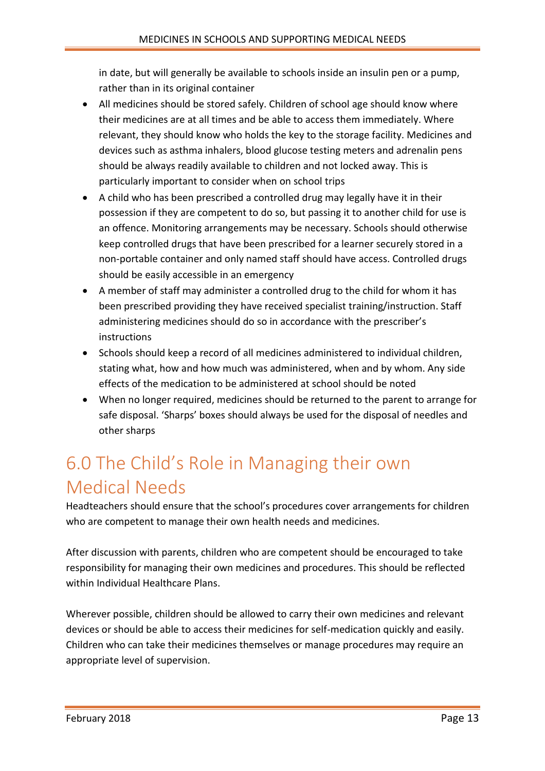in date, but will generally be available to schools inside an insulin pen or a pump, rather than in its original container

- All medicines should be stored safely. Children of school age should know where their medicines are at all times and be able to access them immediately. Where relevant, they should know who holds the key to the storage facility. Medicines and devices such as asthma inhalers, blood glucose testing meters and adrenalin pens should be always readily available to children and not locked away. This is particularly important to consider when on school trips
- A child who has been prescribed a controlled drug may legally have it in their possession if they are competent to do so, but passing it to another child for use is an offence. Monitoring arrangements may be necessary. Schools should otherwise keep controlled drugs that have been prescribed for a learner securely stored in a non-portable container and only named staff should have access. Controlled drugs should be easily accessible in an emergency
- A member of staff may administer a controlled drug to the child for whom it has been prescribed providing they have received specialist training/instruction. Staff administering medicines should do so in accordance with the prescriber's instructions
- Schools should keep a record of all medicines administered to individual children, stating what, how and how much was administered, when and by whom. Any side effects of the medication to be administered at school should be noted
- When no longer required, medicines should be returned to the parent to arrange for safe disposal. 'Sharps' boxes should always be used for the disposal of needles and other sharps

### <span id="page-12-0"></span>6.0 The Child's Role in Managing their own Medical Needs

Headteachers should ensure that the school's procedures cover arrangements for children who are competent to manage their own health needs and medicines.

After discussion with parents, children who are competent should be encouraged to take responsibility for managing their own medicines and procedures. This should be reflected within Individual Healthcare Plans.

Wherever possible, children should be allowed to carry their own medicines and relevant devices or should be able to access their medicines for self-medication quickly and easily. Children who can take their medicines themselves or manage procedures may require an appropriate level of supervision.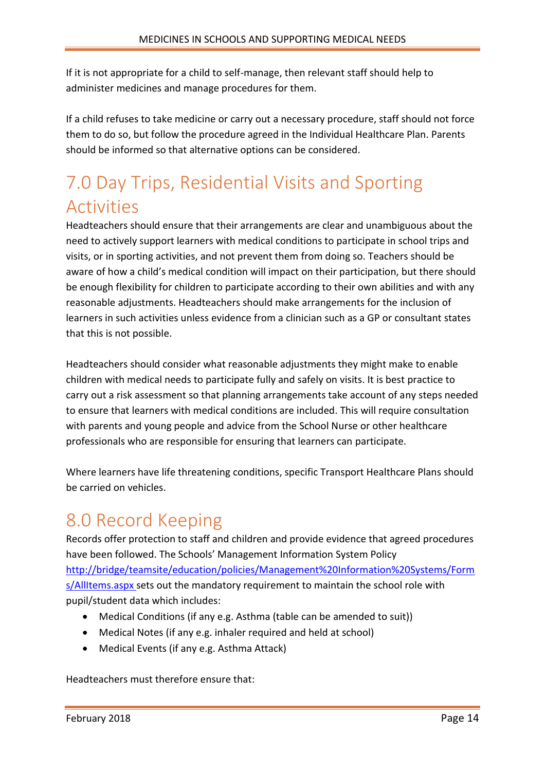If it is not appropriate for a child to self-manage, then relevant staff should help to administer medicines and manage procedures for them.

If a child refuses to take medicine or carry out a necessary procedure, staff should not force them to do so, but follow the procedure agreed in the Individual Healthcare Plan. Parents should be informed so that alternative options can be considered.

## <span id="page-13-0"></span>7.0 Day Trips, Residential Visits and Sporting Activities

Headteachers should ensure that their arrangements are clear and unambiguous about the need to actively support learners with medical conditions to participate in school trips and visits, or in sporting activities, and not prevent them from doing so. Teachers should be aware of how a child's medical condition will impact on their participation, but there should be enough flexibility for children to participate according to their own abilities and with any reasonable adjustments. Headteachers should make arrangements for the inclusion of learners in such activities unless evidence from a clinician such as a GP or consultant states that this is not possible.

Headteachers should consider what reasonable adjustments they might make to enable children with medical needs to participate fully and safely on visits. It is best practice to carry out a risk assessment so that planning arrangements take account of any steps needed to ensure that learners with medical conditions are included. This will require consultation with parents and young people and advice from the School Nurse or other healthcare professionals who are responsible for ensuring that learners can participate.

Where learners have life threatening conditions, specific Transport Healthcare Plans should be carried on vehicles.

### <span id="page-13-1"></span>8.0 Record Keeping

Records offer protection to staff and children and provide evidence that agreed procedures have been followed. The Schools' Management Information System Policy [http://bridge/teamsite/education/policies/Management%20Information%20Systems/Form](http://bridge/teamsite/education/policies/Management%20Information%20Systems/Forms/AllItems.aspx) [s/AllItems.aspx](http://bridge/teamsite/education/policies/Management%20Information%20Systems/Forms/AllItems.aspx) sets out the mandatory requirement to maintain the school role with pupil/student data which includes:

- Medical Conditions (if any e.g. Asthma (table can be amended to suit))
- Medical Notes (if any e.g. inhaler required and held at school)
- Medical Events (if any e.g. Asthma Attack)

Headteachers must therefore ensure that: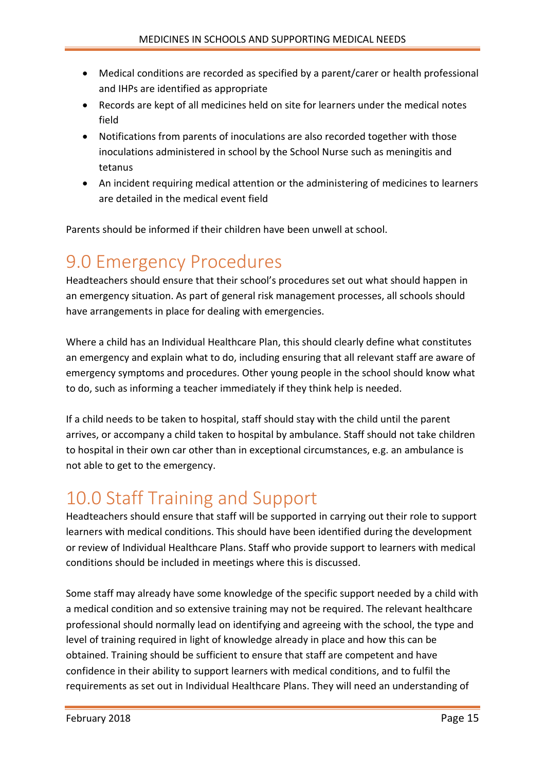- Medical conditions are recorded as specified by a parent/carer or health professional and IHPs are identified as appropriate
- Records are kept of all medicines held on site for learners under the medical notes field
- Notifications from parents of inoculations are also recorded together with those inoculations administered in school by the School Nurse such as meningitis and tetanus
- An incident requiring medical attention or the administering of medicines to learners are detailed in the medical event field

Parents should be informed if their children have been unwell at school.

### <span id="page-14-0"></span>9.0 Emergency Procedures

Headteachers should ensure that their school's procedures set out what should happen in an emergency situation. As part of general risk management processes, all schools should have arrangements in place for dealing with emergencies.

Where a child has an Individual Healthcare Plan, this should clearly define what constitutes an emergency and explain what to do, including ensuring that all relevant staff are aware of emergency symptoms and procedures. Other young people in the school should know what to do, such as informing a teacher immediately if they think help is needed.

If a child needs to be taken to hospital, staff should stay with the child until the parent arrives, or accompany a child taken to hospital by ambulance. Staff should not take children to hospital in their own car other than in exceptional circumstances, e.g. an ambulance is not able to get to the emergency.

### <span id="page-14-1"></span>10.0 Staff Training and Support

Headteachers should ensure that staff will be supported in carrying out their role to support learners with medical conditions. This should have been identified during the development or review of Individual Healthcare Plans. Staff who provide support to learners with medical conditions should be included in meetings where this is discussed.

Some staff may already have some knowledge of the specific support needed by a child with a medical condition and so extensive training may not be required. The relevant healthcare professional should normally lead on identifying and agreeing with the school, the type and level of training required in light of knowledge already in place and how this can be obtained. Training should be sufficient to ensure that staff are competent and have confidence in their ability to support learners with medical conditions, and to fulfil the requirements as set out in Individual Healthcare Plans. They will need an understanding of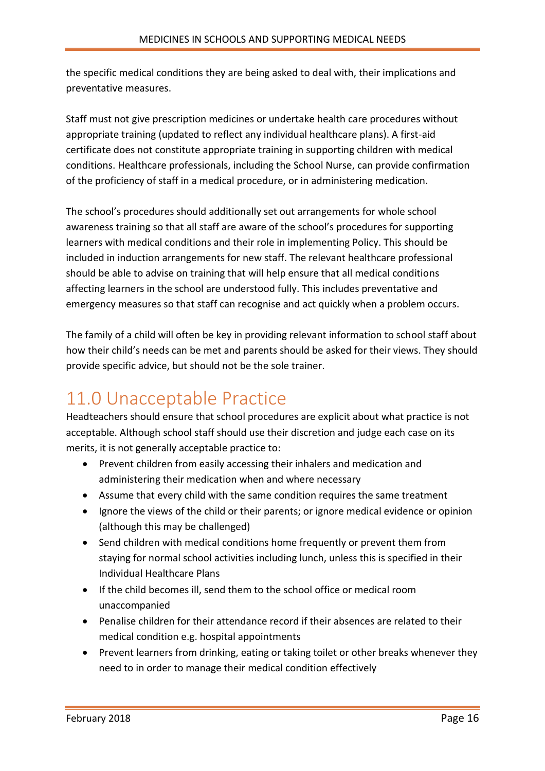the specific medical conditions they are being asked to deal with, their implications and preventative measures.

Staff must not give prescription medicines or undertake health care procedures without appropriate training (updated to reflect any individual healthcare plans). A first-aid certificate does not constitute appropriate training in supporting children with medical conditions. Healthcare professionals, including the School Nurse, can provide confirmation of the proficiency of staff in a medical procedure, or in administering medication.

The school's procedures should additionally set out arrangements for whole school awareness training so that all staff are aware of the school's procedures for supporting learners with medical conditions and their role in implementing Policy. This should be included in induction arrangements for new staff. The relevant healthcare professional should be able to advise on training that will help ensure that all medical conditions affecting learners in the school are understood fully. This includes preventative and emergency measures so that staff can recognise and act quickly when a problem occurs.

The family of a child will often be key in providing relevant information to school staff about how their child's needs can be met and parents should be asked for their views. They should provide specific advice, but should not be the sole trainer.

### <span id="page-15-0"></span>11.0 Unacceptable Practice

Headteachers should ensure that school procedures are explicit about what practice is not acceptable. Although school staff should use their discretion and judge each case on its merits, it is not generally acceptable practice to:

- Prevent children from easily accessing their inhalers and medication and administering their medication when and where necessary
- Assume that every child with the same condition requires the same treatment
- Ignore the views of the child or their parents; or ignore medical evidence or opinion (although this may be challenged)
- Send children with medical conditions home frequently or prevent them from staying for normal school activities including lunch, unless this is specified in their Individual Healthcare Plans
- If the child becomes ill, send them to the school office or medical room unaccompanied
- Penalise children for their attendance record if their absences are related to their medical condition e.g. hospital appointments
- Prevent learners from drinking, eating or taking toilet or other breaks whenever they need to in order to manage their medical condition effectively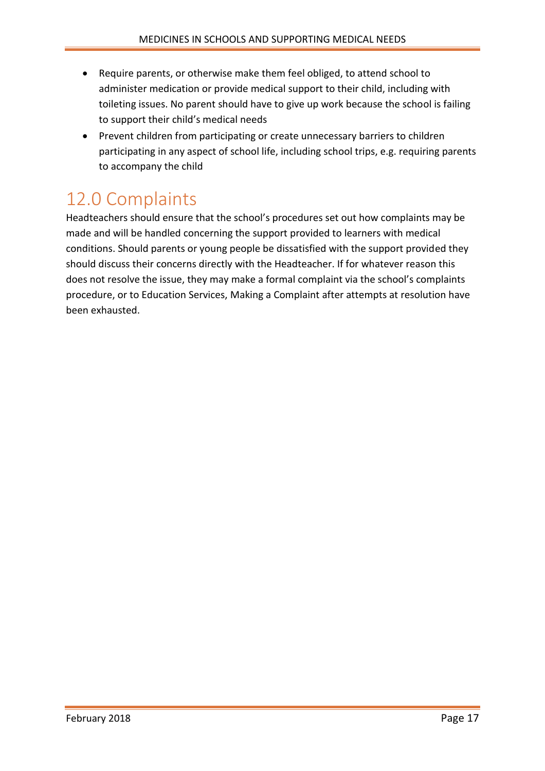- Require parents, or otherwise make them feel obliged, to attend school to administer medication or provide medical support to their child, including with toileting issues. No parent should have to give up work because the school is failing to support their child's medical needs
- Prevent children from participating or create unnecessary barriers to children participating in any aspect of school life, including school trips, e.g. requiring parents to accompany the child

## <span id="page-16-0"></span>12.0 Complaints

Headteachers should ensure that the school's procedures set out how complaints may be made and will be handled concerning the support provided to learners with medical conditions. Should parents or young people be dissatisfied with the support provided they should discuss their concerns directly with the Headteacher. If for whatever reason this does not resolve the issue, they may make a formal complaint via the school's complaints procedure, or to Education Services, [Making a Complaint](https://www.gov.gg/article/2025/Raising-a-Concern-or-Making-a-Complaint) after attempts at resolution have been exhausted.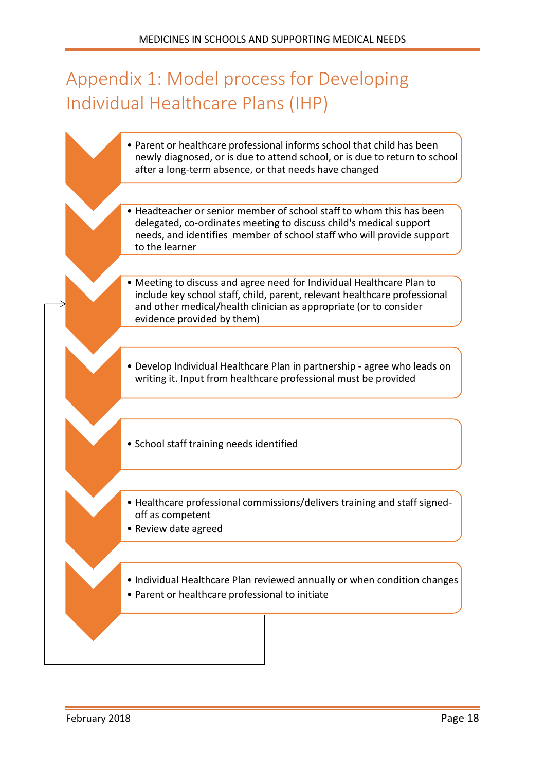## <span id="page-17-0"></span>Appendix 1: Model process for Developing Individual Healthcare Plans (IHP)

| • Parent or healthcare professional informs school that child has been<br>newly diagnosed, or is due to attend school, or is due to return to school<br>after a long-term absence, or that needs have changed                                         |
|-------------------------------------------------------------------------------------------------------------------------------------------------------------------------------------------------------------------------------------------------------|
| • Headteacher or senior member of school staff to whom this has been<br>delegated, co-ordinates meeting to discuss child's medical support<br>needs, and identifies member of school staff who will provide support<br>to the learner                 |
| • Meeting to discuss and agree need for Individual Healthcare Plan to<br>include key school staff, child, parent, relevant healthcare professional<br>and other medical/health clinician as appropriate (or to consider<br>evidence provided by them) |
| • Develop Individual Healthcare Plan in partnership - agree who leads on<br>writing it. Input from healthcare professional must be provided                                                                                                           |
| • School staff training needs identified                                                                                                                                                                                                              |
| • Healthcare professional commissions/delivers training and staff signed-<br>off as competent<br>• Review date agreed                                                                                                                                 |
| • Individual Healthcare Plan reviewed annually or when condition changes<br>• Parent or healthcare professional to initiate                                                                                                                           |
|                                                                                                                                                                                                                                                       |